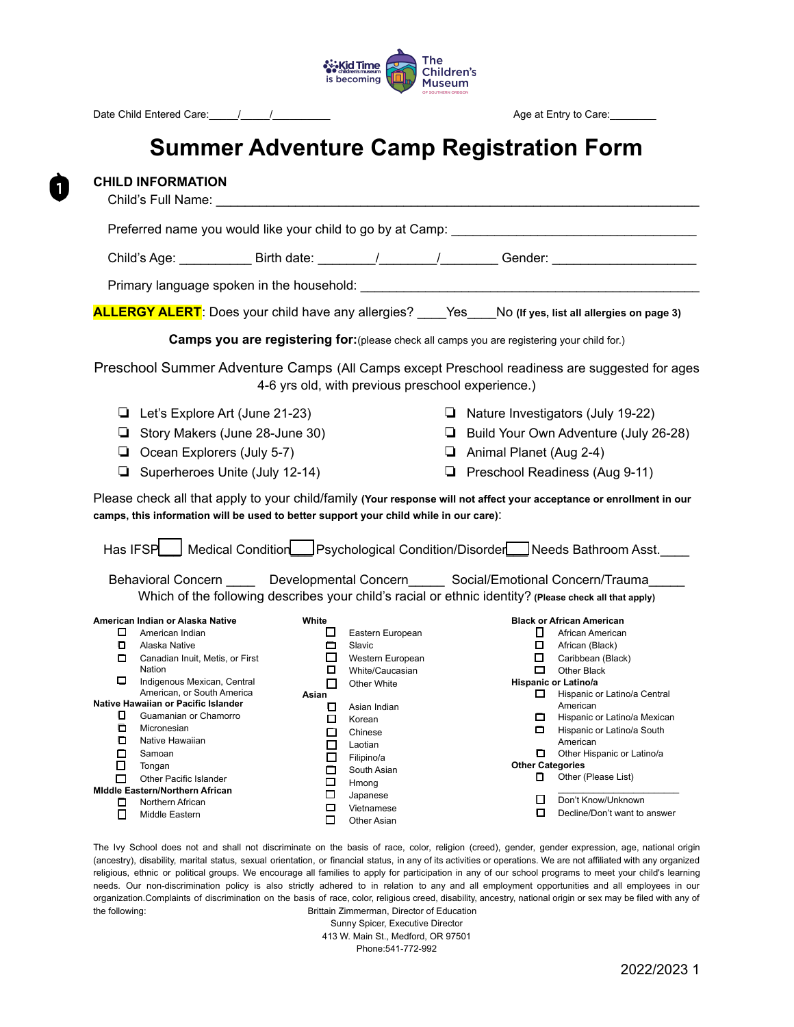

# **Summer Adventure Camp Registration Form**

| <b>CHILD INFORMATION</b><br>Child's Full Name:                                                                                                                                                                                                                                                                                                                                                                                                                                                                                                                                                                                                                                                                                                                                                           |                                                                                                                                                                                                                                                                                                                                                                                                                                                             |
|----------------------------------------------------------------------------------------------------------------------------------------------------------------------------------------------------------------------------------------------------------------------------------------------------------------------------------------------------------------------------------------------------------------------------------------------------------------------------------------------------------------------------------------------------------------------------------------------------------------------------------------------------------------------------------------------------------------------------------------------------------------------------------------------------------|-------------------------------------------------------------------------------------------------------------------------------------------------------------------------------------------------------------------------------------------------------------------------------------------------------------------------------------------------------------------------------------------------------------------------------------------------------------|
| Preferred name you would like your child to go by at Camp: _____________________                                                                                                                                                                                                                                                                                                                                                                                                                                                                                                                                                                                                                                                                                                                         |                                                                                                                                                                                                                                                                                                                                                                                                                                                             |
| Child's Age: _______________ Birth date: _________/_________/___________Gender: _________________________                                                                                                                                                                                                                                                                                                                                                                                                                                                                                                                                                                                                                                                                                                |                                                                                                                                                                                                                                                                                                                                                                                                                                                             |
|                                                                                                                                                                                                                                                                                                                                                                                                                                                                                                                                                                                                                                                                                                                                                                                                          |                                                                                                                                                                                                                                                                                                                                                                                                                                                             |
| <b>ALLERGY ALERT</b> : Does your child have any allergies? ____Yes No (If yes, list all allergies on page 3)                                                                                                                                                                                                                                                                                                                                                                                                                                                                                                                                                                                                                                                                                             |                                                                                                                                                                                                                                                                                                                                                                                                                                                             |
| Camps you are registering for: (please check all camps you are registering your child for.)                                                                                                                                                                                                                                                                                                                                                                                                                                                                                                                                                                                                                                                                                                              |                                                                                                                                                                                                                                                                                                                                                                                                                                                             |
| Preschool Summer Adventure Camps (All Camps except Preschool readiness are suggested for ages<br>4-6 yrs old, with previous preschool experience.)                                                                                                                                                                                                                                                                                                                                                                                                                                                                                                                                                                                                                                                       |                                                                                                                                                                                                                                                                                                                                                                                                                                                             |
| Let's Explore Art (June 21-23)<br>Story Makers (June 28-June 30)<br>$\Box$ Ocean Explorers (July 5-7)<br>❏<br>Superheroes Unite (July 12-14)                                                                                                                                                                                                                                                                                                                                                                                                                                                                                                                                                                                                                                                             | $\Box$ Nature Investigators (July 19-22)<br><b>Build Your Own Adventure (July 26-28)</b><br>$\Box$ Animal Planet (Aug 2-4)<br>Preschool Readiness (Aug 9-11)                                                                                                                                                                                                                                                                                                |
| Please check all that apply to your child/family (Your response will not affect your acceptance or enrollment in our<br>camps, this information will be used to better support your child while in our care):<br>Has IFSP   Medical Condition   Psychological Condition/Disorder   Needs Bathroom Asst.                                                                                                                                                                                                                                                                                                                                                                                                                                                                                                  |                                                                                                                                                                                                                                                                                                                                                                                                                                                             |
| Behavioral Concern _____ Developmental Concern_____ Social/Emotional Concern/Trauma_____<br>Which of the following describes your child's racial or ethnic identity? (Please check all that apply)                                                                                                                                                                                                                                                                                                                                                                                                                                                                                                                                                                                                       |                                                                                                                                                                                                                                                                                                                                                                                                                                                             |
| American Indian or Alaska Native<br>White<br>$\Box$ American Indian<br>□<br>Eastern European<br>$\Box$<br>0<br>Alaska Native<br>Slavic<br>□<br>Canadian Inuit, Metis, or First<br>Western European<br>Nation<br>$\Box$<br>White/Caucasian<br>Indigenous Mexican, Central<br>П.<br>Other White<br>American, or South America<br>Asian<br>Native Hawaiian or Pacific Islander<br>0.<br>Asian Indian<br>0.<br>Guamanian or Chamorro<br>□<br>Korean<br><b>D</b> Micronesian<br>Chinese<br>п<br>0.<br>Native Hawaiian<br>□<br>Laotian<br>0.<br>Samoan<br>0<br>Filipino/a<br>Tongan<br>South Asian<br>п<br>Other Pacific Islander<br>□<br>Hmong<br><b>Middle Eastern/Northern African</b><br>□<br>Japanese<br>Northern African<br>□<br>$\Box$<br>Vietnamese<br>п<br>Middle Eastern<br>П.<br><b>Other Asian</b> | <b>Black or African American</b><br>African American<br>$\mathbf{L}$<br>$\Box$<br>African (Black)<br>□ □<br>Caribbean (Black)<br>$\Box$<br>Other Black<br>Hispanic or Latino/a<br>Hispanic or Latino/a Central<br>American<br>Hispanic or Latino/a Mexican<br>Hispanic or Latino/a South<br>American<br>Other Hispanic or Latino/a<br><b>Other Categories</b><br>Other (Please List)<br>0.<br>П<br>Don't Know/Unknown<br>П.<br>Decline/Don't want to answer |

The Ivy School does not and shall not discriminate on the basis of race, color, religion (creed), gender, gender expression, age, national origin (ancestry), disability, marital status, sexual orientation, or financial status, in any of its activities or operations. We are not affiliated with any organized religious, ethnic or political groups. We encourage all families to apply for participation in any of our school programs to meet your child's learning needs. Our non-discrimination policy is also strictly adhered to in relation to any and all employment opportunities and all employees in our organization.Complaints of discrimination on the basis of race, color, religious creed, disability, ancestry, national origin or sex may be filed with any of the following: The following: The following: Exercise 2011 of the following: The Brittain Zimmerman, Director of Education

Sunny Spicer, Executive Director 413 W. Main St., Medford, OR 97501 Phone:541-772-992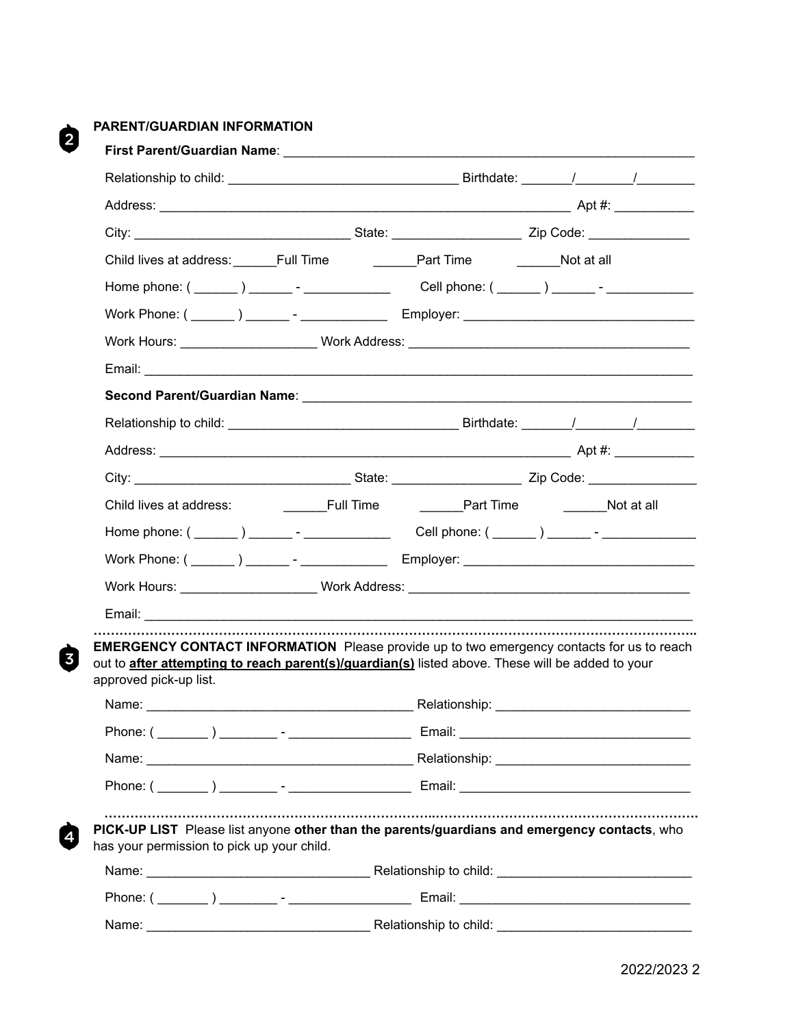## **PARENT/GUARDIAN INFORMATION**

 $\boldsymbol{\Theta}$ 

 $\dot{a}$ 

Ø

| Child lives at address: Full Time<br>Work Hours: _____________________Work Address: _________________________________<br><b>EMERGENCY CONTACT INFORMATION</b> Please provide up to two emergency contacts for us to reach<br>out to <b>after attempting to reach parent(s)/guardian(s)</b> listed above. These will be added to your<br>approved pick-up list.<br>PICK-UP LIST Please list anyone other than the parents/guardians and emergency contacts, who<br>has your permission to pick up your child. |                                                              |
|--------------------------------------------------------------------------------------------------------------------------------------------------------------------------------------------------------------------------------------------------------------------------------------------------------------------------------------------------------------------------------------------------------------------------------------------------------------------------------------------------------------|--------------------------------------------------------------|
|                                                                                                                                                                                                                                                                                                                                                                                                                                                                                                              |                                                              |
|                                                                                                                                                                                                                                                                                                                                                                                                                                                                                                              |                                                              |
|                                                                                                                                                                                                                                                                                                                                                                                                                                                                                                              | <b>Example 1</b> Part Time <b>Contains Late 2</b> Not at all |
|                                                                                                                                                                                                                                                                                                                                                                                                                                                                                                              |                                                              |
|                                                                                                                                                                                                                                                                                                                                                                                                                                                                                                              |                                                              |
|                                                                                                                                                                                                                                                                                                                                                                                                                                                                                                              |                                                              |
|                                                                                                                                                                                                                                                                                                                                                                                                                                                                                                              |                                                              |
|                                                                                                                                                                                                                                                                                                                                                                                                                                                                                                              |                                                              |
|                                                                                                                                                                                                                                                                                                                                                                                                                                                                                                              |                                                              |
|                                                                                                                                                                                                                                                                                                                                                                                                                                                                                                              |                                                              |
|                                                                                                                                                                                                                                                                                                                                                                                                                                                                                                              |                                                              |
|                                                                                                                                                                                                                                                                                                                                                                                                                                                                                                              |                                                              |
|                                                                                                                                                                                                                                                                                                                                                                                                                                                                                                              |                                                              |
|                                                                                                                                                                                                                                                                                                                                                                                                                                                                                                              |                                                              |
|                                                                                                                                                                                                                                                                                                                                                                                                                                                                                                              |                                                              |
|                                                                                                                                                                                                                                                                                                                                                                                                                                                                                                              |                                                              |
|                                                                                                                                                                                                                                                                                                                                                                                                                                                                                                              |                                                              |
|                                                                                                                                                                                                                                                                                                                                                                                                                                                                                                              |                                                              |
|                                                                                                                                                                                                                                                                                                                                                                                                                                                                                                              |                                                              |
|                                                                                                                                                                                                                                                                                                                                                                                                                                                                                                              |                                                              |
|                                                                                                                                                                                                                                                                                                                                                                                                                                                                                                              |                                                              |
|                                                                                                                                                                                                                                                                                                                                                                                                                                                                                                              |                                                              |
| Relationship to child: <b>Constitutions</b> 2014 19: 2014 19: 2014 19: 2014 19: 2014 19: 2014 19: 2014 19: 2014 19: 20<br>Name:                                                                                                                                                                                                                                                                                                                                                                              |                                                              |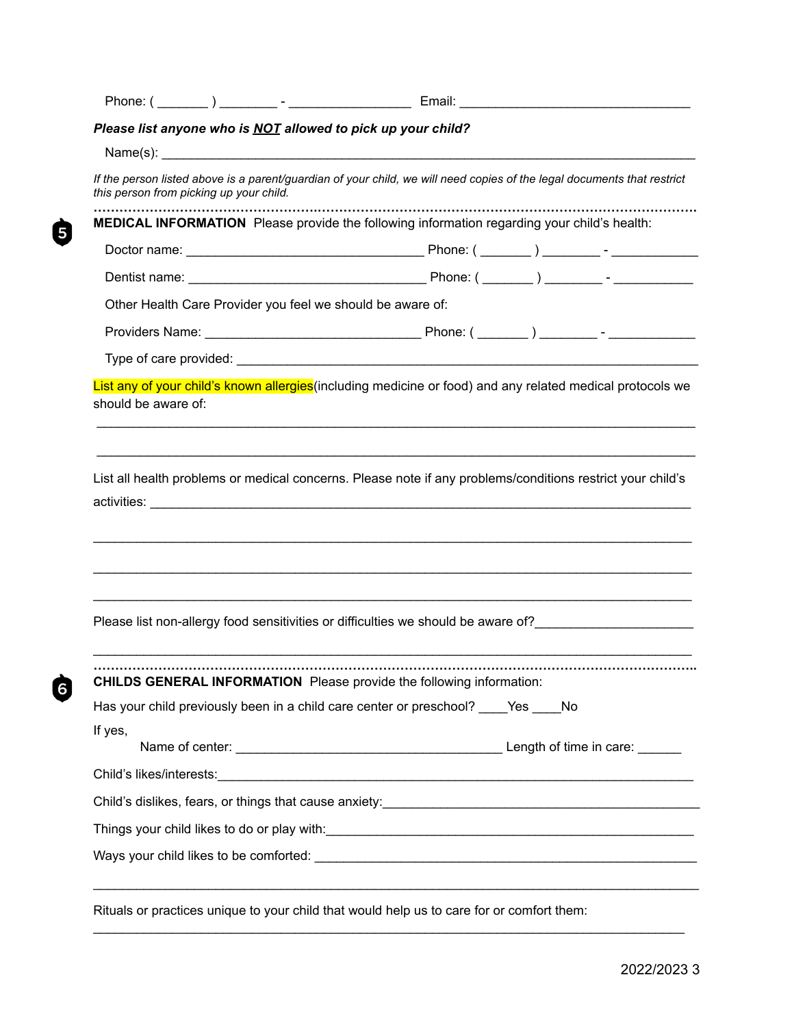| Please list anyone who is NOT allowed to pick up your child?                                                                                                       |  |  |  |  |
|--------------------------------------------------------------------------------------------------------------------------------------------------------------------|--|--|--|--|
|                                                                                                                                                                    |  |  |  |  |
| If the person listed above is a parent/guardian of your child, we will need copies of the legal documents that restrict<br>this person from picking up your child. |  |  |  |  |
| MEDICAL INFORMATION Please provide the following information regarding your child's health:                                                                        |  |  |  |  |
|                                                                                                                                                                    |  |  |  |  |
|                                                                                                                                                                    |  |  |  |  |
| Other Health Care Provider you feel we should be aware of:                                                                                                         |  |  |  |  |
|                                                                                                                                                                    |  |  |  |  |
|                                                                                                                                                                    |  |  |  |  |
| List any of your child's known allergies (including medicine or food) and any related medical protocols we<br>should be aware of:                                  |  |  |  |  |
| List all health problems or medical concerns. Please note if any problems/conditions restrict your child's                                                         |  |  |  |  |
| Please list non-allergy food sensitivities or difficulties we should be aware of?                                                                                  |  |  |  |  |
|                                                                                                                                                                    |  |  |  |  |
| <b>CHILDS GENERAL INFORMATION</b> Please provide the following information:<br>Has your child previously been in a child care center or preschool? __ Yes No       |  |  |  |  |
| If yes,                                                                                                                                                            |  |  |  |  |
|                                                                                                                                                                    |  |  |  |  |
| Child's dislikes, fears, or things that cause anxiety: <b>Childen Child's dislikes</b> , fears, or things that cause anxiety:                                      |  |  |  |  |
|                                                                                                                                                                    |  |  |  |  |

2022/2023 3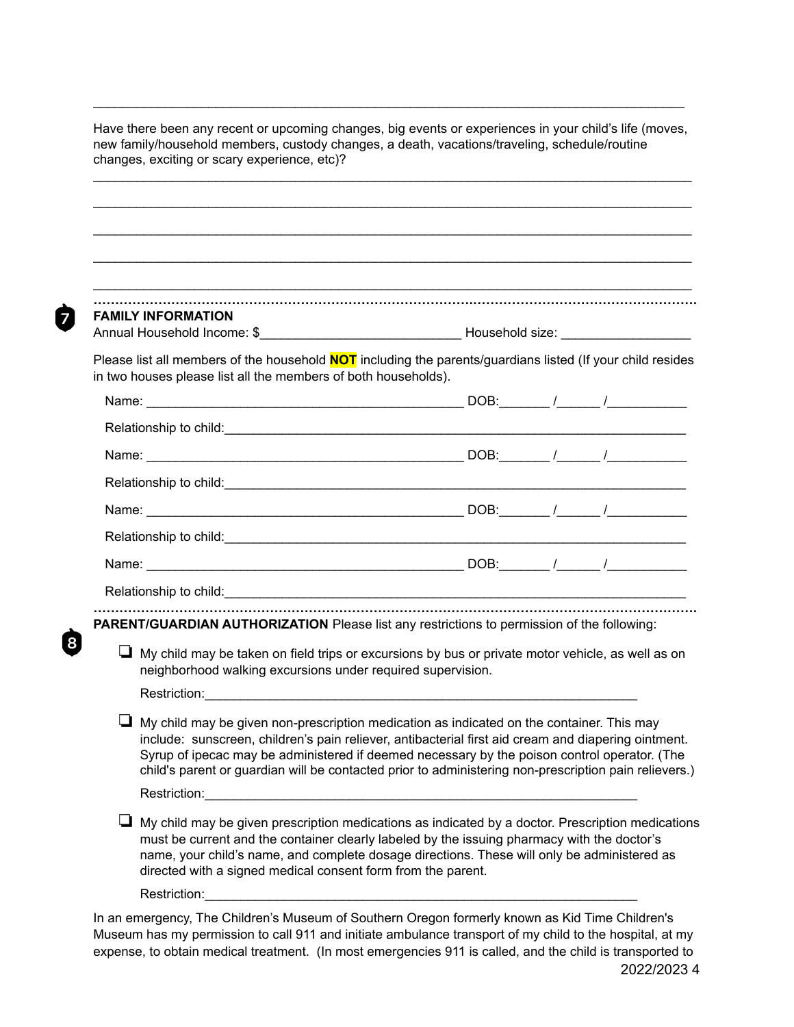| <b>FAMILY INFORMATION</b> |  |                                                                                                                                                                                                                                    |                                                                                                                                                                                                                                                                                                                                                                                                                                                                                                                                                                                                                                                                                                                                                                                                                                                                                                                                                                                                                                                                                                                                                                                                                                                                                                  |
|---------------------------|--|------------------------------------------------------------------------------------------------------------------------------------------------------------------------------------------------------------------------------------|--------------------------------------------------------------------------------------------------------------------------------------------------------------------------------------------------------------------------------------------------------------------------------------------------------------------------------------------------------------------------------------------------------------------------------------------------------------------------------------------------------------------------------------------------------------------------------------------------------------------------------------------------------------------------------------------------------------------------------------------------------------------------------------------------------------------------------------------------------------------------------------------------------------------------------------------------------------------------------------------------------------------------------------------------------------------------------------------------------------------------------------------------------------------------------------------------------------------------------------------------------------------------------------------------|
|                           |  |                                                                                                                                                                                                                                    |                                                                                                                                                                                                                                                                                                                                                                                                                                                                                                                                                                                                                                                                                                                                                                                                                                                                                                                                                                                                                                                                                                                                                                                                                                                                                                  |
|                           |  |                                                                                                                                                                                                                                    |                                                                                                                                                                                                                                                                                                                                                                                                                                                                                                                                                                                                                                                                                                                                                                                                                                                                                                                                                                                                                                                                                                                                                                                                                                                                                                  |
|                           |  |                                                                                                                                                                                                                                    |                                                                                                                                                                                                                                                                                                                                                                                                                                                                                                                                                                                                                                                                                                                                                                                                                                                                                                                                                                                                                                                                                                                                                                                                                                                                                                  |
|                           |  |                                                                                                                                                                                                                                    |                                                                                                                                                                                                                                                                                                                                                                                                                                                                                                                                                                                                                                                                                                                                                                                                                                                                                                                                                                                                                                                                                                                                                                                                                                                                                                  |
|                           |  |                                                                                                                                                                                                                                    |                                                                                                                                                                                                                                                                                                                                                                                                                                                                                                                                                                                                                                                                                                                                                                                                                                                                                                                                                                                                                                                                                                                                                                                                                                                                                                  |
|                           |  |                                                                                                                                                                                                                                    |                                                                                                                                                                                                                                                                                                                                                                                                                                                                                                                                                                                                                                                                                                                                                                                                                                                                                                                                                                                                                                                                                                                                                                                                                                                                                                  |
|                           |  |                                                                                                                                                                                                                                    |                                                                                                                                                                                                                                                                                                                                                                                                                                                                                                                                                                                                                                                                                                                                                                                                                                                                                                                                                                                                                                                                                                                                                                                                                                                                                                  |
|                           |  |                                                                                                                                                                                                                                    |                                                                                                                                                                                                                                                                                                                                                                                                                                                                                                                                                                                                                                                                                                                                                                                                                                                                                                                                                                                                                                                                                                                                                                                                                                                                                                  |
|                           |  |                                                                                                                                                                                                                                    |                                                                                                                                                                                                                                                                                                                                                                                                                                                                                                                                                                                                                                                                                                                                                                                                                                                                                                                                                                                                                                                                                                                                                                                                                                                                                                  |
|                           |  |                                                                                                                                                                                                                                    |                                                                                                                                                                                                                                                                                                                                                                                                                                                                                                                                                                                                                                                                                                                                                                                                                                                                                                                                                                                                                                                                                                                                                                                                                                                                                                  |
|                           |  |                                                                                                                                                                                                                                    |                                                                                                                                                                                                                                                                                                                                                                                                                                                                                                                                                                                                                                                                                                                                                                                                                                                                                                                                                                                                                                                                                                                                                                                                                                                                                                  |
|                           |  |                                                                                                                                                                                                                                    |                                                                                                                                                                                                                                                                                                                                                                                                                                                                                                                                                                                                                                                                                                                                                                                                                                                                                                                                                                                                                                                                                                                                                                                                                                                                                                  |
|                           |  |                                                                                                                                                                                                                                    |                                                                                                                                                                                                                                                                                                                                                                                                                                                                                                                                                                                                                                                                                                                                                                                                                                                                                                                                                                                                                                                                                                                                                                                                                                                                                                  |
|                           |  |                                                                                                                                                                                                                                    |                                                                                                                                                                                                                                                                                                                                                                                                                                                                                                                                                                                                                                                                                                                                                                                                                                                                                                                                                                                                                                                                                                                                                                                                                                                                                                  |
|                           |  |                                                                                                                                                                                                                                    |                                                                                                                                                                                                                                                                                                                                                                                                                                                                                                                                                                                                                                                                                                                                                                                                                                                                                                                                                                                                                                                                                                                                                                                                                                                                                                  |
|                           |  |                                                                                                                                                                                                                                    |                                                                                                                                                                                                                                                                                                                                                                                                                                                                                                                                                                                                                                                                                                                                                                                                                                                                                                                                                                                                                                                                                                                                                                                                                                                                                                  |
|                           |  |                                                                                                                                                                                                                                    |                                                                                                                                                                                                                                                                                                                                                                                                                                                                                                                                                                                                                                                                                                                                                                                                                                                                                                                                                                                                                                                                                                                                                                                                                                                                                                  |
|                           |  | in two houses please list all the members of both households).<br>neighborhood walking excursions under required supervision.<br><b>Restriction: Exercise 2020</b><br>directed with a signed medical consent form from the parent. | Please list all members of the household <b>NOT</b> including the parents/guardians listed (If your child resides<br>Relationship to child: <b>All and September 2016</b> and Control and Control and Control and Control and Control and Control and Control and Control and Control and Control and Control and Control and Control and Control and Co<br>PARENT/GUARDIAN AUTHORIZATION Please list any restrictions to permission of the following:<br>$\Box$ My child may be taken on field trips or excursions by bus or private motor vehicle, as well as on<br>$\Box$ My child may be given non-prescription medication as indicated on the container. This may<br>include: sunscreen, children's pain reliever, antibacterial first aid cream and diapering ointment.<br>Syrup of ipecac may be administered if deemed necessary by the poison control operator. (The<br>child's parent or guardian will be contacted prior to administering non-prescription pain relievers.)<br>$\Box$ My child may be given prescription medications as indicated by a doctor. Prescription medications<br>must be current and the container clearly labeled by the issuing pharmacy with the doctor's<br>name, your child's name, and complete dosage directions. These will only be administered as |

 $\mathcal{L}_\text{max}$  , and the contribution of the contribution of the contribution of the contribution of the contribution of the contribution of the contribution of the contribution of the contribution of the contribution of t

Ò

Museum has my permission to call 911 and initiate ambulance transport of my child to the hospital, at my expense, to obtain medical treatment. (In most emergencies 911 is called, and the child is transported to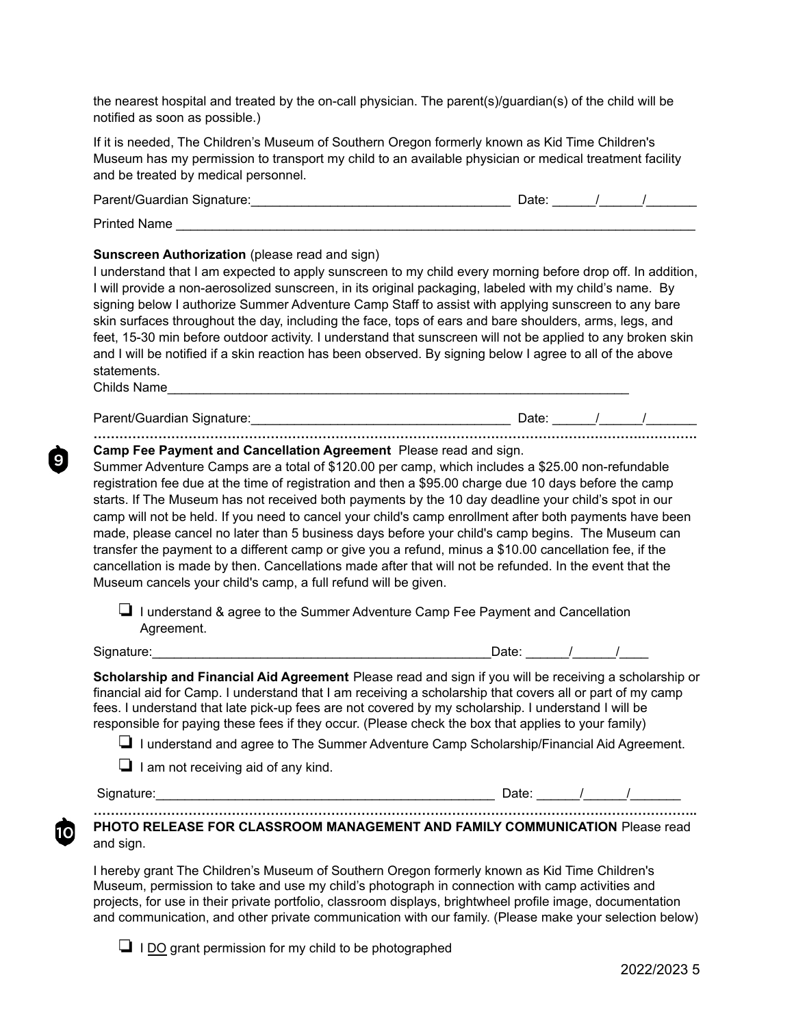the nearest hospital and treated by the on-call physician. The parent(s)/guardian(s) of the child will be notified as soon as possible.)

If it is needed, The Children's Museum of Southern Oregon formerly known as Kid Time Children's Museum has my permission to transport my child to an available physician or medical treatment facility and be treated by medical personnel.

| Parent/Guardian Signature: | Date: |  |  |
|----------------------------|-------|--|--|
| <b>Printed Name</b>        |       |  |  |

#### **Sunscreen Authorization** (please read and sign)

I understand that I am expected to apply sunscreen to my child every morning before drop off. In addition, I will provide a non-aerosolized sunscreen, in its original packaging, labeled with my child's name. By signing below I authorize Summer Adventure Camp Staff to assist with applying sunscreen to any bare skin surfaces throughout the day, including the face, tops of ears and bare shoulders, arms, legs, and feet, 15-30 min before outdoor activity. I understand that sunscreen will not be applied to any broken skin and I will be notified if a skin reaction has been observed. By signing below I agree to all of the above statements.

Childs Name

9

Parent/Guardian Signature:\_\_\_\_\_\_\_\_\_\_\_\_\_\_\_\_\_\_\_\_\_\_\_\_\_\_\_\_\_\_\_\_\_\_\_\_ Date: \_\_\_\_\_\_/\_\_\_\_\_\_/\_\_\_\_\_\_\_ **……………………………………………………………………………………………………………….………….**

**Camp Fee Payment and Cancellation Agreement** Please read and sign.

Summer Adventure Camps are a total of \$120.00 per camp, which includes a \$25.00 non-refundable registration fee due at the time of registration and then a \$95.00 charge due 10 days before the camp starts. If The Museum has not received both payments by the 10 day deadline your child's spot in our camp will not be held. If you need to cancel your child's camp enrollment after both payments have been made, please cancel no later than 5 business days before your child's camp begins. The Museum can transfer the payment to a different camp or give you a refund, minus a \$10.00 cancellation fee, if the cancellation is made by then. Cancellations made after that will not be refunded. In the event that the Museum cancels your child's camp, a full refund will be given.

❏ I understand & agree to the Summer Adventure Camp Fee Payment and Cancellation Agreement.

Signature:

| Date: |  |  |
|-------|--|--|
|       |  |  |

**Scholarship and Financial Aid Agreement** Please read and sign if you will be receiving a scholarship or financial aid for Camp. I understand that I am receiving a scholarship that covers all or part of my camp fees. I understand that late pick-up fees are not covered by my scholarship. I understand I will be responsible for paying these fees if they occur. (Please check the box that applies to your family)

❏ I understand and agree to The Summer Adventure Camp Scholarship/Financial Aid Agreement.

❏ I am not receiving aid of any kind.

10

Signature:\_\_\_\_\_\_\_\_\_\_\_\_\_\_\_\_\_\_\_\_\_\_\_\_\_\_\_\_\_\_\_\_\_\_\_\_\_\_\_\_\_\_\_\_\_\_\_ Date: \_\_\_\_\_\_/\_\_\_\_\_\_/\_\_\_\_\_\_\_

**………………………………………………………………………………………………………………………….. PHOTO RELEASE FOR CLASSROOM MANAGEMENT AND FAMILY COMMUNICATION** Please read and sign.

I hereby grant The Children's Museum of Southern Oregon formerly known as Kid Time Children's Museum, permission to take and use my child's photograph in connection with camp activities and projects, for use in their private portfolio, classroom displays, brightwheel profile image, documentation and communication, and other private communication with our family. (Please make your selection below)

❏ I DO grant permission for my child to be photographed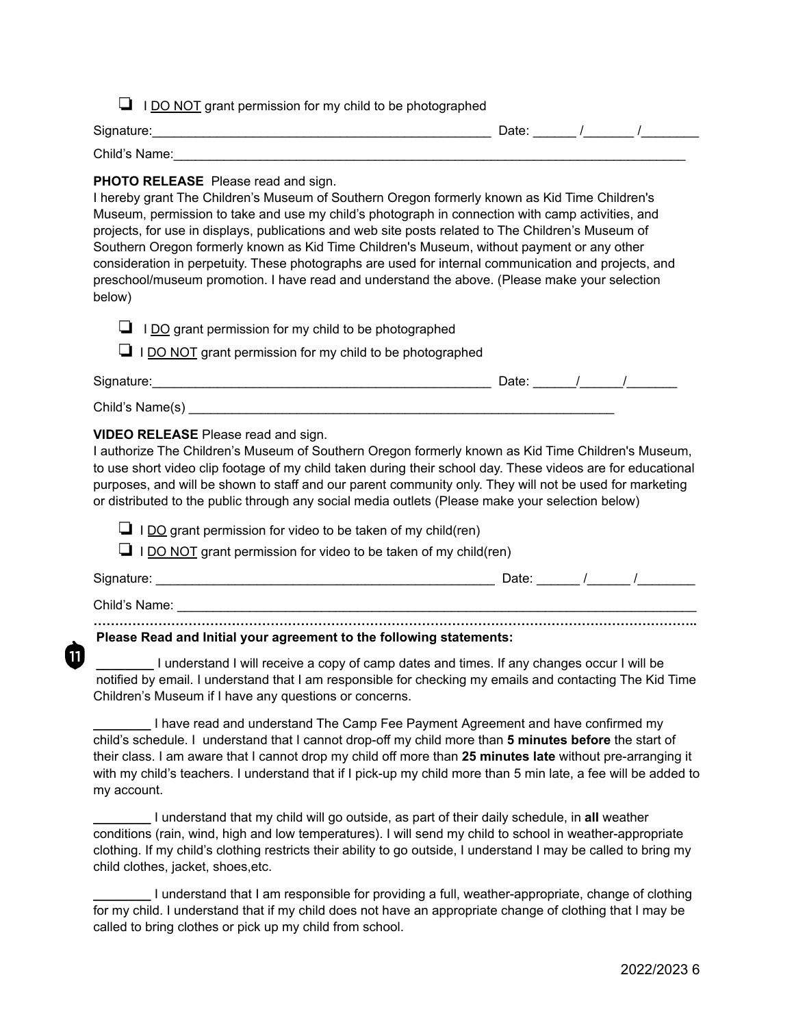|  | <b>I</b> I DO NOT grant permission for my child to be photographed |  |  |
|--|--------------------------------------------------------------------|--|--|
|--|--------------------------------------------------------------------|--|--|

| Signature:    | Date: |  |
|---------------|-------|--|
| Child's Name: |       |  |

### **PHOTO RELEASE** Please read and sign.

I hereby grant The Children's Museum of Southern Oregon formerly known as Kid Time Children's Museum, permission to take and use my child's photograph in connection with camp activities, and projects, for use in displays, publications and web site posts related to The Children's Museum of Southern Oregon formerly known as Kid Time Children's Museum, without payment or any other consideration in perpetuity. These photographs are used for internal communication and projects, and preschool/museum promotion. I have read and understand the above. (Please make your selection below)

❏ I DO grant permission for my child to be photographed

❏ I DO NOT grant permission for my child to be photographed

| Signature:      | Date |  |  |
|-----------------|------|--|--|
| Child's Name(s) |      |  |  |

## **VIDEO RELEASE** Please read and sign.

I authorize The Children's Museum of Southern Oregon formerly known as Kid Time Children's Museum, to use short video clip footage of my child taken during their school day. These videos are for educational purposes, and will be shown to staff and our parent community only. They will not be used for marketing or distributed to the public through any social media outlets (Please make your selection below)

 $\Box$  I DO grant permission for video to be taken of my child(ren)

 $\Box$  I DO NOT grant permission for video to be taken of my child(ren)

11

Signature: \_\_\_\_\_\_\_\_\_\_\_\_\_\_\_\_\_\_\_\_\_\_\_\_\_\_\_\_\_\_\_\_\_\_\_\_\_\_\_\_\_\_\_\_\_\_\_ Date: \_\_\_\_\_\_ /\_\_\_\_\_\_ /\_\_\_\_\_\_\_\_

Child's Name:

#### **………………………………………………………………………………………………………………………….. Please Read and Initial your agreement to the following statements:**

**\_\_\_\_\_\_\_\_** I understand I will receive a copy of camp dates and times. If any changes occur I will be notified by email. I understand that I am responsible for checking my emails and contacting The Kid Time Children's Museum if I have any questions or concerns.

**\_\_\_\_\_\_\_\_** I have read and understand The Camp Fee Payment Agreement and have confirmed my child's schedule. I understand that I cannot drop-off my child more than **5 minutes before** the start of their class. I am aware that I cannot drop my child off more than **25 minutes late** without pre-arranging it with my child's teachers. I understand that if I pick-up my child more than 5 min late, a fee will be added to my account.

**\_\_\_\_\_\_\_\_** I understand that my child will go outside, as part of their daily schedule, in **all** weather conditions (rain, wind, high and low temperatures). I will send my child to school in weather-appropriate clothing. If my child's clothing restricts their ability to go outside, I understand I may be called to bring my child clothes, jacket, shoes,etc.

**\_\_\_\_\_\_\_\_** I understand that I am responsible for providing a full, weather-appropriate, change of clothing for my child. I understand that if my child does not have an appropriate change of clothing that I may be called to bring clothes or pick up my child from school.